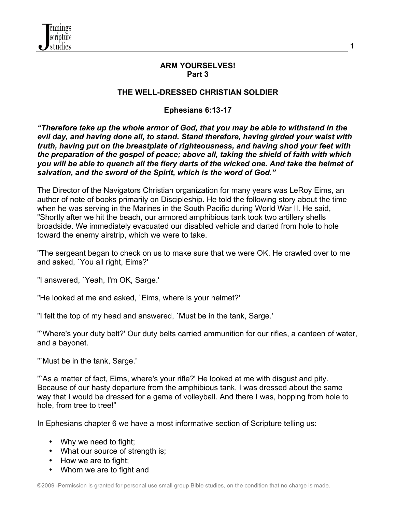

#### **ARM YOURSELVES! Part 3**

1

#### **THE WELL-DRESSED CHRISTIAN SOLDIER**

### **Ephesians 6:13-17**

*"Therefore take up the whole armor of God, that you may be able to withstand in the evil day, and having done all, to stand. Stand therefore, having girded your waist with truth, having put on the breastplate of righteousness, and having shod your feet with the preparation of the gospel of peace; above all, taking the shield of faith with which you will be able to quench all the fiery darts of the wicked one. And take the helmet of salvation, and the sword of the Spirit, which is the word of God."*

The Director of the Navigators Christian organization for many years was LeRoy Eims, an author of note of books primarily on Discipleship. He told the following story about the time when he was serving in the Marines in the South Pacific during World War II. He said, "Shortly after we hit the beach, our armored amphibious tank took two artillery shells broadside. We immediately evacuated our disabled vehicle and darted from hole to hole toward the enemy airstrip, which we were to take.

"The sergeant began to check on us to make sure that we were OK. He crawled over to me and asked, `You all right, Eims?'

"I answered, `Yeah, I'm OK, Sarge.'

"He looked at me and asked, `Eims, where is your helmet?'

"I felt the top of my head and answered, `Must be in the tank, Sarge.'

"`Where's your duty belt?' Our duty belts carried ammunition for our rifles, a canteen of water, and a bayonet.

"`Must be in the tank, Sarge.'

"`As a matter of fact, Eims, where's your rifle?' He looked at me with disgust and pity. Because of our hasty departure from the amphibious tank, I was dressed about the same way that I would be dressed for a game of volleyball. And there I was, hopping from hole to hole, from tree to tree!"

In Ephesians chapter 6 we have a most informative section of Scripture telling us:

- Why we need to fight;
- What our source of strength is;
- How we are to fight;
- Whom we are to fight and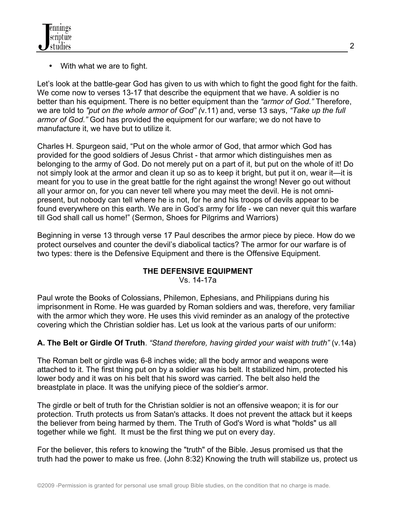

With what we are to fight.

Let's look at the battle-gear God has given to us with which to fight the good fight for the faith. We come now to verses 13-17 that describe the equipment that we have. A soldier is no better than his equipment. There is no better equipment than the *"armor of God."* Therefore, we are told to *"put on the whole armor of God" (*v.11) and, verse 13 says, *"Take up the full armor of God."* God has provided the equipment for our warfare; we do not have to manufacture it, we have but to utilize it.

Charles H. Spurgeon said, "Put on the whole armor of God, that armor which God has provided for the good soldiers of Jesus Christ - that armor which distinguishes men as belonging to the army of God. Do not merely put on a part of it, but put on the whole of it! Do not simply look at the armor and clean it up so as to keep it bright, but put it on, wear it—it is meant for you to use in the great battle for the right against the wrong! Never go out without all your armor on, for you can never tell where you may meet the devil. He is not omnipresent, but nobody can tell where he is not, for he and his troops of devils appear to be found everywhere on this earth. We are in God's army for life - we can never quit this warfare till God shall call us home!" (Sermon, Shoes for Pilgrims and Warriors)

Beginning in verse 13 through verse 17 Paul describes the armor piece by piece. How do we protect ourselves and counter the devil's diabolical tactics? The armor for our warfare is of two types: there is the Defensive Equipment and there is the Offensive Equipment.

# **THE DEFENSIVE EQUIPMENT**

Vs. 14-17a

Paul wrote the Books of Colossians, Philemon, Ephesians, and Philippians during his imprisonment in Rome. He was guarded by Roman soldiers and was, therefore, very familiar with the armor which they wore. He uses this vivid reminder as an analogy of the protective covering which the Christian soldier has. Let us look at the various parts of our uniform:

# **A. The Belt or Girdle Of Truth**. *"Stand therefore, having girded your waist with truth"* (v.14a)

The Roman belt or girdle was 6-8 inches wide; all the body armor and weapons were attached to it. The first thing put on by a soldier was his belt. It stabilized him, protected his lower body and it was on his belt that his sword was carried. The belt also held the breastplate in place. It was the unifying piece of the soldier's armor.

The girdle or belt of truth for the Christian soldier is not an offensive weapon; it is for our protection. Truth protects us from Satan's attacks. It does not prevent the attack but it keeps the believer from being harmed by them. The Truth of God's Word is what "holds" us all together while we fight. It must be the first thing we put on every day.

For the believer, this refers to knowing the "truth" of the Bible. Jesus promised us that the truth had the power to make us free. (John 8:32) Knowing the truth will stabilize us, protect us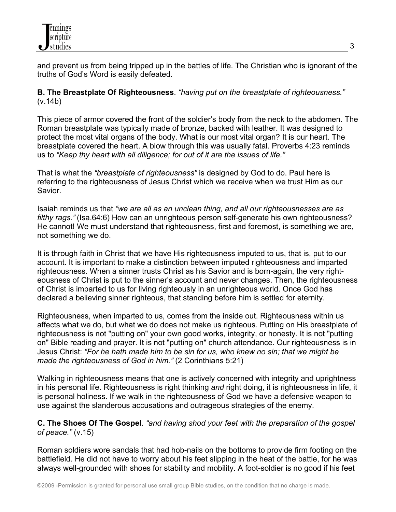

and prevent us from being tripped up in the battles of life. The Christian who is ignorant of the truths of God's Word is easily defeated.

**B. The Breastplate Of Righteousness**. *"having put on the breastplate of righteousness."* (v.14b)

This piece of armor covered the front of the soldier's body from the neck to the abdomen. The Roman breastplate was typically made of bronze, backed with leather. It was designed to protect the most vital organs of the body. What is our most vital organ? It is our heart. The breastplate covered the heart. A blow through this was usually fatal. Proverbs 4:23 reminds us to *"Keep thy heart with all diligence; for out of it are the issues of life."*

That is what the *"breastplate of righteousness"* is designed by God to do. Paul here is referring to the righteousness of Jesus Christ which we receive when we trust Him as our Savior.

Isaiah reminds us that *"we are all as an unclean thing, and all our righteousnesses are as filthy rags."* (Isa.64:6) How can an unrighteous person self-generate his own righteousness? He cannot! We must understand that righteousness, first and foremost, is something we are, not something we do.

It is through faith in Christ that we have His righteousness imputed to us, that is, put to our account. It is important to make a distinction between imputed righteousness and imparted righteousness. When a sinner trusts Christ as his Savior and is born-again, the very righteousness of Christ is put to the sinner's account and never changes. Then, the righteousness of Christ is imparted to us for living righteously in an unrighteous world. Once God has declared a believing sinner righteous, that standing before him is settled for eternity.

Righteousness, when imparted to us, comes from the inside out. Righteousness within us affects what we do, but what we do does not make us righteous. Putting on His breastplate of righteousness is not "putting on" your own good works, integrity, or honesty. It is not "putting on" Bible reading and prayer. It is not "putting on" church attendance. Our righteousness is in Jesus Christ: *"For he hath made him to be sin for us, who knew no sin; that we might be made the righteousness of God in him."* (2 Corinthians 5:21)

Walking in righteousness means that one is actively concerned with integrity and uprightness in his personal life. Righteousness is right thinking *and* right doing, it is righteousness in life, it is personal holiness. If we walk in the righteousness of God we have a defensive weapon to use against the slanderous accusations and outrageous strategies of the enemy.

**C. The Shoes Of The Gospel**. *"and having shod your feet with the preparation of the gospel of peace."* (v.15)

Roman soldiers wore sandals that had hob-nails on the bottoms to provide firm footing on the battlefield. He did not have to worry about his feet slipping in the heat of the battle, for he was always well-grounded with shoes for stability and mobility. A foot-soldier is no good if his feet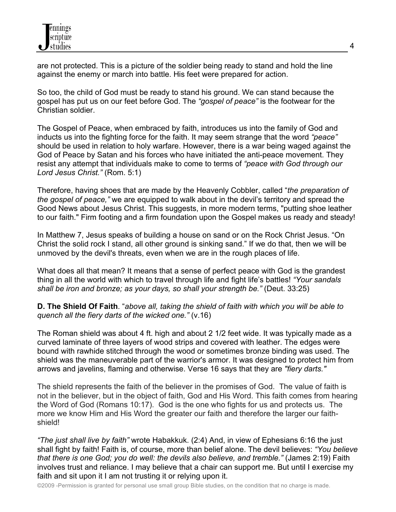

are not protected. This is a picture of the soldier being ready to stand and hold the line against the enemy or march into battle. His feet were prepared for action.

So too, the child of God must be ready to stand his ground. We can stand because the gospel has put us on our feet before God. The *"gospel of peace"* is the footwear for the Christian soldier.

The Gospel of Peace, when embraced by faith, introduces us into the family of God and inducts us into the fighting force for the faith. It may seem strange that the word *"peace"* should be used in relation to holy warfare. However, there is a war being waged against the God of Peace by Satan and his forces who have initiated the anti-peace movement. They resist any attempt that individuals make to come to terms of *"peace with God through our Lord Jesus Christ."* (Rom. 5:1)

Therefore, having shoes that are made by the Heavenly Cobbler, called "*the preparation of the gospel of peace,"* we are equipped to walk about in the devil's territory and spread the Good News about Jesus Christ. This suggests, in more modern terms, "putting shoe leather to our faith." Firm footing and a firm foundation upon the Gospel makes us ready and steady!

In Matthew 7, Jesus speaks of building a house on sand or on the Rock Christ Jesus. "On Christ the solid rock I stand, all other ground is sinking sand." If we do that, then we will be unmoved by the devil's threats, even when we are in the rough places of life.

What does all that mean? It means that a sense of perfect peace with God is the grandest thing in all the world with which to travel through life and fight life's battles! *"Your sandals shall be iron and bronze; as your days, so shall your strength be."* (Deut. 33:25)

**D. The Shield Of Faith**. "*above all, taking the shield of faith with which you will be able to quench all the fiery darts of the wicked one."* (v.16)

The Roman shield was about 4 ft. high and about 2 1/2 feet wide. It was typically made as a curved laminate of three layers of wood strips and covered with leather. The edges were bound with rawhide stitched through the wood or sometimes bronze binding was used. The shield was the maneuverable part of the warrior's armor. It was designed to protect him from arrows and javelins, flaming and otherwise. Verse 16 says that they are *"fiery darts."*

The shield represents the faith of the believer in the promises of God. The value of faith is not in the believer, but in the object of faith, God and His Word. This faith comes from hearing the Word of God (Romans 10:17). God is the one who fights for us and protects us. The more we know Him and His Word the greater our faith and therefore the larger our faithshield!

*"The just shall live by faith"* wrote Habakkuk. (2:4) And, in view of Ephesians 6:16 the just shall fight by faith! Faith is, of course, more than belief alone. The devil believes: *"You believe that there is one God; you do well: the devils also believe, and tremble."* (James 2:19) Faith involves trust and reliance. I may believe that a chair can support me. But until I exercise my faith and sit upon it I am not trusting it or relying upon it.

©2009 -Permission is granted for personal use small group Bible studies, on the condition that no charge is made.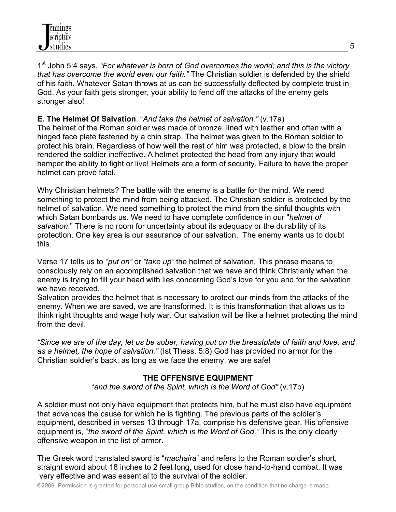1st John 5:4 says, *"For whatever is born of God overcomes the world; and this is the victory that has overcome the world even our faith."* The Christian soldier is defended by the shield of his faith. Whatever Satan throws at us can be successfully deflected by complete trust in God. As your faith gets stronger, your ability to fend off the attacks of the enemy gets stronger also!

# **E. The Helmet Of Salvation**. "*And take the helmet of salvation."* (v.17a)

The helmet of the Roman soldier was made of bronze, lined with leather and often with a hinged face plate fastened by a chin strap. The helmet was given to the Roman soldier to protect his brain. Regardless of how well the rest of him was protected, a blow to the brain rendered the soldier ineffective. A helmet protected the head from any injury that would hamper the ability to fight or live! Helmets are a form of security. Failure to have the proper helmet can prove fatal.

Why Christian helmets? The battle with the enemy is a battle for the mind. We need something to protect the mind from being attacked. The Christian soldier is protected by the helmet of salvation. We need something to protect the mind from the sinful thoughts with which Satan bombards us. We need to have complete confidence in our "*helmet of salvation*." There is no room for uncertainty about its adequacy or the durability of its protection. One key area is our assurance of our salvation. The enemy wants us to doubt this.

Verse 17 tells us to *"put on"* or *"take up"* the helmet of salvation. This phrase means to consciously rely on an accomplished salvation that we have and think Christianly when the enemy is trying to fill your head with lies concerning God's love for you and for the salvation we have received.

Salvation provides the helmet that is necessary to protect our minds from the attacks of the enemy. When we are saved, we are transformed. It is this transformation that allows us to think right thoughts and wage holy war. Our salvation will be like a helmet protecting the mind from the devil.

*"Since we are of the day, let us be sober, having put on the breastplate of faith and love, and as a helmet, the hope of salvation."* (Ist Thess. 5:8) God has provided no armor for the Christian soldier's back; as long as we face the enemy, we are safe!

### **THE OFFENSIVE EQUIPMENT**

"*and the sword of the Spirit, which is the Word of God"* (v.17b)

A soldier must not only have equipment that protects him, but he must also have equipment that advances the cause for which he is fighting. The previous parts of the soldier's equipment, described in verses 13 through 17a, comprise his defensive gear. His offensive equipment is, "*the sword of the Spirit, which is the Word of God."* This is the only clearly offensive weapon in the list of armor.

The Greek word translated sword is "*machaira*" and refers to the Roman soldier's short, straight sword about 18 inches to 2 feet long, used for close hand-to-hand combat. It was very effective and was essential to the survival of the soldier.

©2009 -Permission is granted for personal use small group Bible studies, on the condition that no charge is made.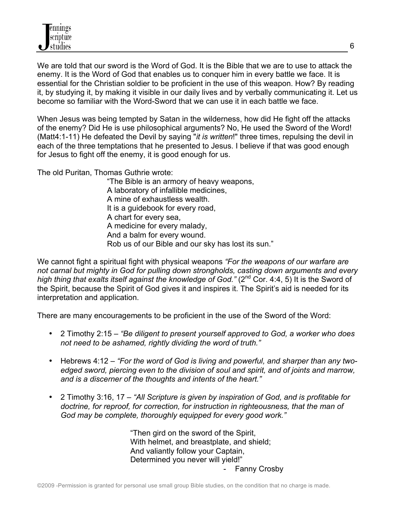We are told that our sword is the Word of God. It is the Bible that we are to use to attack the enemy. It is the Word of God that enables us to conquer him in every battle we face. It is essential for the Christian soldier to be proficient in the use of this weapon. How? By reading it, by studying it, by making it visible in our daily lives and by verbally communicating it. Let us become so familiar with the Word-Sword that we can use it in each battle we face.

When Jesus was being tempted by Satan in the wilderness, how did He fight off the attacks of the enemy? Did He is use philosophical arguments? No, He used the Sword of the Word! (Matt4:1-11) He defeated the Devil by saying "*it is written*!" three times, repulsing the devil in each of the three temptations that he presented to Jesus. I believe if that was good enough for Jesus to fight off the enemy, it is good enough for us.

The old Puritan, Thomas Guthrie wrote:

"The Bible is an armory of heavy weapons, A laboratory of infallible medicines, A mine of exhaustless wealth. It is a guidebook for every road, A chart for every sea, A medicine for every malady, And a balm for every wound. Rob us of our Bible and our sky has lost its sun."

We cannot fight a spiritual fight with physical weapons *"For the weapons of our warfare are not carnal but mighty in God for pulling down strongholds, casting down arguments and every*  high thing that exalts itself against the knowledge of God." (2<sup>nd</sup> Cor. 4:4, 5) It is the Sword of the Spirit, because the Spirit of God gives it and inspires it. The Spirit's aid is needed for its interpretation and application.

There are many encouragements to be proficient in the use of the Sword of the Word:

- 2 Timothy 2:15 *"Be diligent to present yourself approved to God, a worker who does not need to be ashamed, rightly dividing the word of truth."*
- Hebrews 4:12 *"For the word of God is living and powerful, and sharper than any twoedged sword, piercing even to the division of soul and spirit, and of joints and marrow, and is a discerner of the thoughts and intents of the heart."*
- 2 Timothy 3:16, 17 *"All Scripture is given by inspiration of God, and is profitable for doctrine, for reproof, for correction, for instruction in righteousness, that the man of God may be complete, thoroughly equipped for every good work."*

"Then gird on the sword of the Spirit, With helmet, and breastplate, and shield; And valiantly follow your Captain, Determined you never will yield!" Fanny Crosby